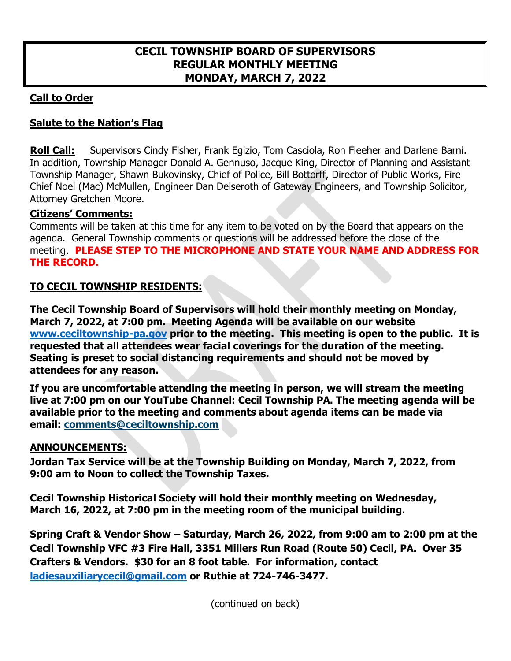## **Call to Order**

# **Salute to the Nation's Flag**

**Roll Call:** Supervisors Cindy Fisher, Frank Egizio, Tom Casciola, Ron Fleeher and Darlene Barni. In addition, Township Manager Donald A. Gennuso, Jacque King, Director of Planning and Assistant Township Manager, Shawn Bukovinsky, Chief of Police, Bill Bottorff, Director of Public Works, Fire Chief Noel (Mac) McMullen, Engineer Dan Deiseroth of Gateway Engineers, and Township Solicitor, Attorney Gretchen Moore.

### **Citizens' Comments:**

Comments will be taken at this time for any item to be voted on by the Board that appears on the agenda. General Township comments or questions will be addressed before the close of the meeting. **PLEASE STEP TO THE MICROPHONE AND STATE YOUR NAME AND ADDRESS FOR THE RECORD.** 

### **TO CECIL TOWNSHIP RESIDENTS:**

**The Cecil Township Board of Supervisors will hold their monthly meeting on Monday, March 7, 2022, at 7:00 pm. Meeting Agenda will be available on our website [www.ceciltownship-pa.gov](http://www.ceciltownship-pa.gov/) prior to the meeting. This meeting is open to the public. It is requested that all attendees wear facial coverings for the duration of the meeting. Seating is preset to social distancing requirements and should not be moved by attendees for any reason.** 

**If you are uncomfortable attending the meeting in person, we will stream the meeting live at 7:00 pm on our YouTube Channel: Cecil Township PA. The meeting agenda will be available prior to the meeting and comments about agenda items can be made via email: [comments@ceciltownship.com](mailto:comments@ceciltownship.com)**

#### **ANNOUNCEMENTS:**

**Jordan Tax Service will be at the Township Building on Monday, March 7, 2022, from 9:00 am to Noon to collect the Township Taxes.**

**Cecil Township Historical Society will hold their monthly meeting on Wednesday, March 16, 2022, at 7:00 pm in the meeting room of the municipal building.**

**Spring Craft & Vendor Show – Saturday, March 26, 2022, from 9:00 am to 2:00 pm at the Cecil Township VFC #3 Fire Hall, 3351 Millers Run Road (Route 50) Cecil, PA. Over 35 Crafters & Vendors. \$30 for an 8 foot table. For information, contact [ladiesauxiliarycecil@gmail.com](mailto:ladiesauxiliarycecil@gmail.com) or Ruthie at 724-746-3477.** 

(continued on back)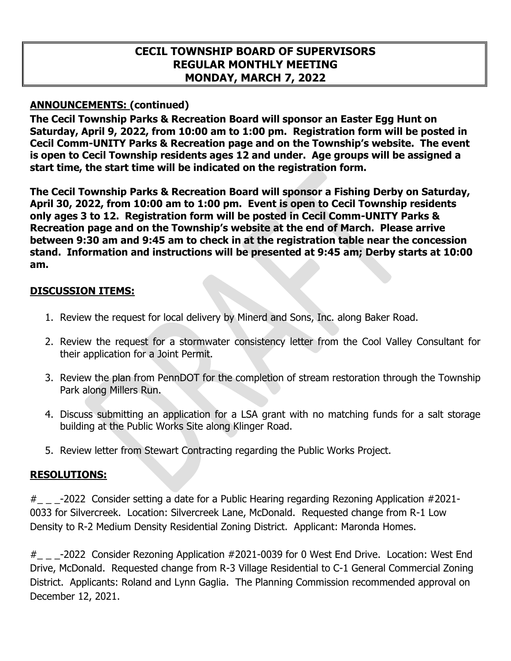## **ANNOUNCEMENTS: (continued)**

**The Cecil Township Parks & Recreation Board will sponsor an Easter Egg Hunt on Saturday, April 9, 2022, from 10:00 am to 1:00 pm. Registration form will be posted in Cecil Comm-UNITY Parks & Recreation page and on the Township's website. The event is open to Cecil Township residents ages 12 and under. Age groups will be assigned a start time, the start time will be indicated on the registration form.** 

**The Cecil Township Parks & Recreation Board will sponsor a Fishing Derby on Saturday, April 30, 2022, from 10:00 am to 1:00 pm. Event is open to Cecil Township residents only ages 3 to 12. Registration form will be posted in Cecil Comm-UNITY Parks & Recreation page and on the Township's website at the end of March. Please arrive between 9:30 am and 9:45 am to check in at the registration table near the concession stand. Information and instructions will be presented at 9:45 am; Derby starts at 10:00 am.**

### **DISCUSSION ITEMS:**

- 1. Review the request for local delivery by Minerd and Sons, Inc. along Baker Road.
- 2. Review the request for a stormwater consistency letter from the Cool Valley Consultant for their application for a Joint Permit.
- 3. Review the plan from PennDOT for the completion of stream restoration through the Township Park along Millers Run.
- 4. Discuss submitting an application for a LSA grant with no matching funds for a salt storage building at the Public Works Site along Klinger Road.
- 5. Review letter from Stewart Contracting regarding the Public Works Project.

## **RESOLUTIONS:**

 $#$   $_{-}$   $_{-}$ -2022 Consider setting a date for a Public Hearing regarding Rezoning Application #2021-0033 for Silvercreek. Location: Silvercreek Lane, McDonald. Requested change from R-1 Low Density to R-2 Medium Density Residential Zoning District. Applicant: Maronda Homes.

 $\#$   $_{\_}$   $_{\_}$  -2022 Consider Rezoning Application  $\#2021$ -0039 for 0 West End Drive. Location: West End Drive, McDonald. Requested change from R-3 Village Residential to C-1 General Commercial Zoning District. Applicants: Roland and Lynn Gaglia. The Planning Commission recommended approval on December 12, 2021.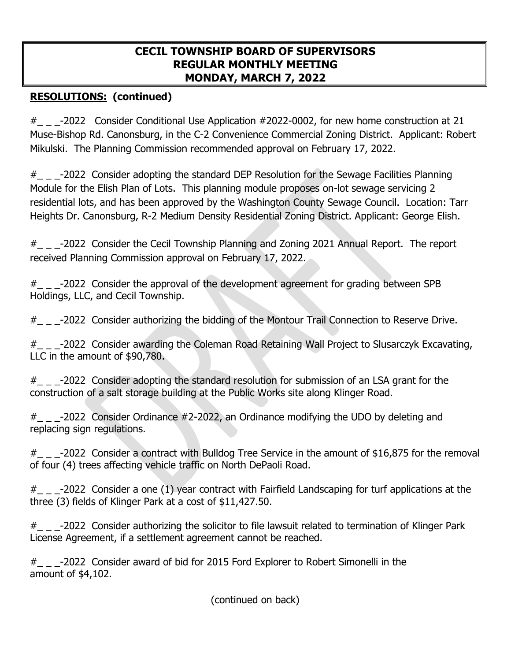# **RESOLUTIONS: (continued)**

 $\#$   $_{\_}$   $_{\_}$  -2022 Consider Conditional Use Application  $\#2022$ -0002, for new home construction at 21 Muse-Bishop Rd. Canonsburg, in the C-2 Convenience Commercial Zoning District. Applicant: Robert Mikulski. The Planning Commission recommended approval on February 17, 2022.

 $\#$   $_{\_}$   $_{\_}$  -2022 Consider adopting the standard DEP Resolution for the Sewage Facilities Planning Module for the Elish Plan of Lots. This planning module proposes on-lot sewage servicing 2 residential lots, and has been approved by the Washington County Sewage Council. Location: Tarr Heights Dr. Canonsburg, R-2 Medium Density Residential Zoning District. Applicant: George Elish.

#\_ \_ \_-2022 Consider the Cecil Township Planning and Zoning 2021 Annual Report. The report received Planning Commission approval on February 17, 2022.

 $\#$   $_{\_}$   $_{\_}$  -2022 Consider the approval of the development agreement for grading between SPB Holdings, LLC, and Cecil Township.

 $#_{\_ \_ \_}$  -2022 Consider authorizing the bidding of the Montour Trail Connection to Reserve Drive.

#\_ \_ \_-2022 Consider awarding the Coleman Road Retaining Wall Project to Slusarczyk Excavating, LLC in the amount of \$90,780.

#\_ \_ \_-2022 Consider adopting the standard resolution for submission of an LSA grant for the construction of a salt storage building at the Public Works site along Klinger Road.

 $\#$   $_{\sim}$   $_{\sim}$  -2022 Consider Ordinance  $\#$ 2-2022, an Ordinance modifying the UDO by deleting and replacing sign regulations.

 $#$   $_{-}$  -2022 Consider a contract with Bulldog Tree Service in the amount of \$16,875 for the removal of four (4) trees affecting vehicle traffic on North DePaoli Road.

 $#$   $_{-}$   $_{-}$ -2022 Consider a one (1) year contract with Fairfield Landscaping for turf applications at the three (3) fields of Klinger Park at a cost of \$11,427.50.

 $\#$   $_{\_}$   $_{\_}$   $_{\_}$   $\sim$  2022 Consider authorizing the solicitor to file lawsuit related to termination of Klinger Park License Agreement, if a settlement agreement cannot be reached.

#\_ \_ \_-2022 Consider award of bid for 2015 Ford Explorer to Robert Simonelli in the amount of \$4,102.

(continued on back)